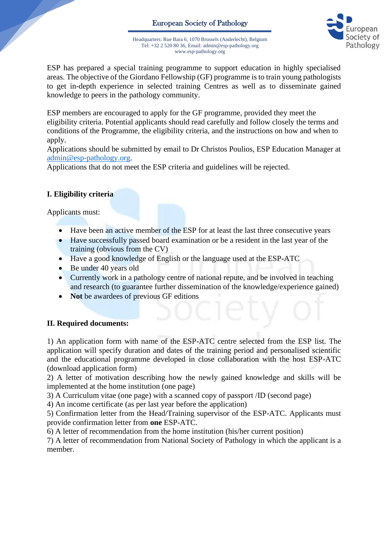

Headquarters: Rue Bara 6, 1070 Brussels (Anderlecht), Belgium Tel: +32 2 520 80 36, Email: admin@esp-pathology.org www.esp-pathology.org

ESP has prepared a special training programme to support education in highly specialised areas. The objective of the Giordano Fellowship (GF) programme is to train young pathologists to get in-depth experience in selected training Centres as well as to disseminate gained knowledge to peers in the pathology community.

ESP members are encouraged to apply for the GF programme, provided they meet the eligibility criteria. Potential applicants should read carefully and follow closely the terms and conditions of the Programme, the eligibility criteria, and the instructions on how and when to apply.

Applications should be submitted by email to Dr Christos Poulios, ESP Education Manager at [admin@esp-pathology.org.](mailto:admin@esp-pathology.org)

Applications that do not meet the ESP criteria and guidelines will be rejected.

# **I. Eligibility criteria**

Applicants must:

- Have been an active member of the ESP for at least the last three consecutive years
- Have successfully passed board examination or be a resident in the last year of the training (obvious from the CV)
- Have a good knowledge of English or the language used at the ESP-ATC
- Be under 40 years old
- Currently work in a pathology centre of national repute, and be involved in teaching and research (to guarantee further dissemination of the knowledge/experience gained)
- **Not** be awardees of previous GF editions

## **II. Required documents:**

1) An application form with name of the ESP-ATC centre selected from the ESP list. The application will specify duration and dates of the training period and personalised scientific and the educational programme developed in close collaboration with the host ESP-ATC (download application form)

2) A letter of motivation describing how the newly gained knowledge and skills will be implemented at the home institution (one page)

3) A Curriculum vitae (one page) with a scanned copy of passport /ID (second page)

4) An income certificate (as per last year before the application)

5) Confirmation letter from the Head/Training supervisor of the ESP-ATC. Applicants must provide confirmation letter from **one** ESP-ATC.

6) A letter of recommendation from the home institution (his/her current position)

7) A letter of recommendation from National Society of Pathology in which the applicant is a member.